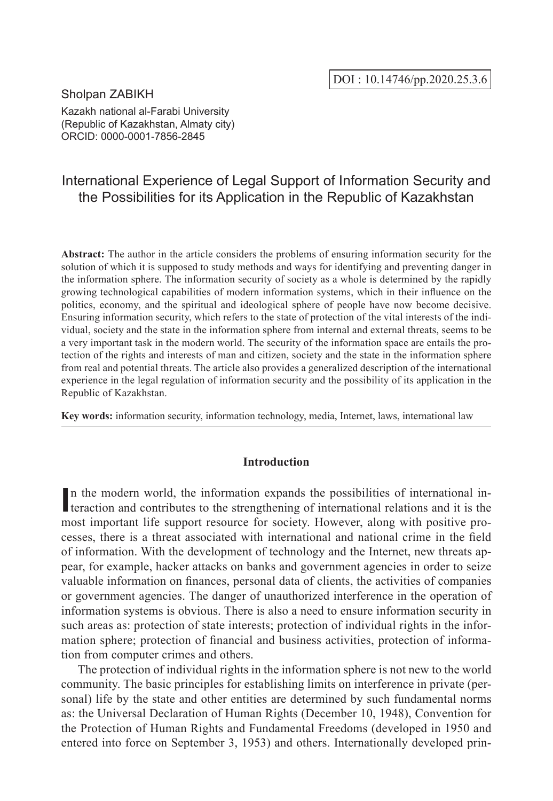# Sholpan ZABIKH

Kazakh national al-Farabi University (Republic of Kazakhstan, Almaty city) ORCID: 0000-0001-7856-2845

# International Experience of Legal Support of Information Security and the Possibilities for its Application in the Republic of Kazakhstan

**Abstract:** The author in the article considers the problems of ensuring information security for the solution of which it is supposed to study methods and ways for identifying and preventing danger in the information sphere. The information security of society as a whole is determined by the rapidly growing technological capabilities of modern information systems, which in their influence on the politics, economy, and the spiritual and ideological sphere of people have now become decisive. Ensuring information security, which refers to the state of protection of the vital interests of the individual, society and the state in the information sphere from internal and external threats, seems to be a very important task in the modern world. The security of the information space are entails the protection of the rights and interests of man and citizen, society and the state in the information sphere from real and potential threats. The article also provides a generalized description of the international experience in the legal regulation of information security and the possibility of its application in the Republic of Kazakhstan.

**Key words:** information security, information technology, media, Internet, laws, international law

# **Introduction**

In the modern world, the information expands the possibilities of international interaction and contributes to the strengthening of international relations and it is the teraction and contributes to the strengthening of international relations and it is the most important life support resource for society. However, along with positive processes, there is a threat associated with international and national crime in the field of information. With the development of technology and the Internet, new threats appear, for example, hacker attacks on banks and government agencies in order to seize valuable information on finances, personal data of clients, the activities of companies or government agencies. The danger of unauthorized interference in the operation of information systems is obvious. There is also a need to ensure information security in such areas as: protection of state interests; protection of individual rights in the information sphere; protection of financial and business activities, protection of information from computer crimes and others.

The protection of individual rights in the information sphere is not new to the world community. Тhe basic principles for establishing limits on interference in private (personal) life by the state and other entities are determined by such fundamental norms as: the Universal Declaration of Human Rights (December 10, 1948), Convention for the Protection of Human Rights and Fundamental Freedoms (developed in 1950 and entered into force on September 3, 1953) and others. Internationally developed prin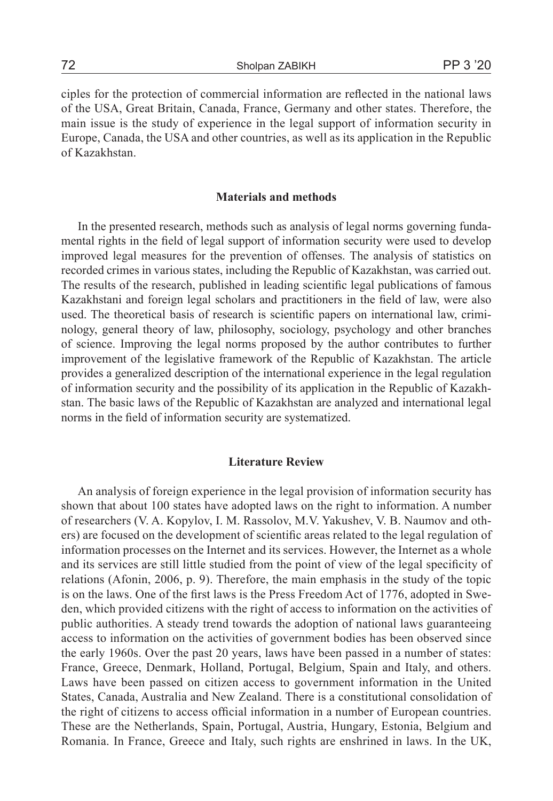ciples for the protection of commercial information are reflected in the national laws of the USA, Great Britain, Canada, France, Germany and other states. Therefore, the main issue is the study of experience in the legal support of information security in Europe, Canada, the USA and other countries, as well as its application in the Republic of Kazakhstan.

# **Materials and methods**

In the presented research, methods such as analysis of legal norms governing fundamental rights in the field of legal support of information security were used to develop improved legal measures for the prevention of offenses. The analysis of statistics on recorded crimes in various states, including the Republic of Kazakhstan, was carried out. The results of the research, published in leading scientific legal publications of famous Kazakhstani and foreign legal scholars and practitioners in the field of law, were also used. The theoretical basis of research is scientific papers on international law, criminology, general theory of law, philosophy, sociology, psychology and other branches of science. Improving the legal norms proposed by the author contributes to further improvement of the legislative framework of the Republic of Kazakhstan. The article provides a generalized description of the international experience in the legal regulation of information security and the possibility of its application in the Republic of Kazakhstan. The basic laws of the Republic of Kazakhstan are analyzed and international legal norms in the field of information security are systematized.

# **Literature Review**

An analysis of foreign experience in the legal provision of information security has shown that about 100 states have adopted laws on the right to information. A number of researchers (V. A. Kopylov, I. M. Rassolov, M.V. Yakushev, V. B. Naumov and others) are focused on the development of scientific areas related to the legal regulation of information processes on the Internet and its services. However, the Internet as a whole and its services are still little studied from the point of view of the legal specificity of relations (Afonin, 2006, p. 9). Therefore, the main emphasis in the study of the topic is on the laws. One of the first laws is the Press Freedom Act of 1776, adopted in Sweden, which provided citizens with the right of access to information on the activities of public authorities. A steady trend towards the adoption of national laws guaranteeing access to information on the activities of government bodies has been observed since the early 1960s. Over the past 20 years, laws have been passed in a number of states: France, Greece, Denmark, Holland, Portugal, Belgium, Spain and Italy, and others. Laws have been passed on citizen access to government information in the United States, Canada, Australia and New Zealand. There is a constitutional consolidation of the right of citizens to access official information in a number of European countries. These are the Netherlands, Spain, Portugal, Austria, Hungary, Estonia, Belgium and Romania. In France, Greece and Italy, such rights are enshrined in laws. In the UK,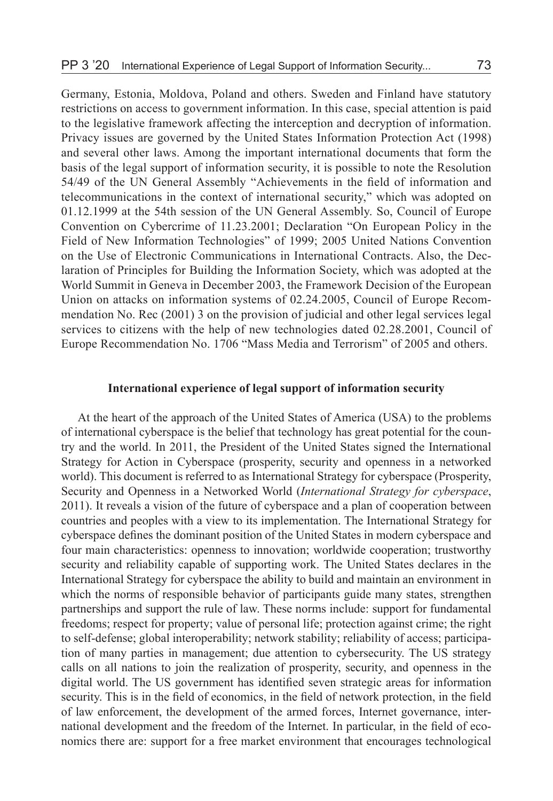Germany, Estonia, Moldova, Poland and others. Sweden and Finland have statutory restrictions on access to government information. In this case, special attention is paid to the legislative framework affecting the interception and decryption of information. Privacy issues are governed by the United States Information Protection Act (1998) and several other laws. Among the important international documents that form the basis of the legal support of information security, it is possible to note the Resolution 54/49 of the UN General Assembly "Achievements in the field of information and telecommunications in the context of international security," which was adopted on 01.12.1999 at the 54th session of the UN General Assembly. So, Council of Europe Convention on Cybercrime of 11.23.2001; Declaration "On European Policy in the Field of New Information Technologies" of 1999; 2005 United Nations Convention on the Use of Electronic Communications in International Contracts. Also, the Declaration of Principles for Building the Information Society, which was adopted at the World Summit in Geneva in December 2003, the Framework Decision of the European Union on attacks on information systems of 02.24.2005, Council of Europe Recommendation No. Rec (2001) 3 on the provision of judicial and other legal services legal services to citizens with the help of new technologies dated 02.28.2001, Council of Europe Recommendation No. 1706 "Mass Media and Terrorism" of 2005 and others.

# **International experience of legal support of information security**

At the heart of the approach of the United States of America (USA) to the problems of international cyberspace is the belief that technology has great potential for the country and the world. In 2011, the President of the United States signed the International Strategy for Action in Cyberspace (prosperity, security and openness in a networked world). This document is referred to as International Strategy for cyberspace (Prosperity, Security and Openness in a Networked World (*International Strategy for cyberspace*, 2011). It reveals a vision of the future of cyberspace and a plan of cooperation between countries and peoples with a view to its implementation. The International Strategy for cyberspace defines the dominant position of the United States in modern cyberspace and four main characteristics: openness to innovation; worldwide cooperation; trustworthy security and reliability capable of supporting work. The United States declares in the International Strategy for cyberspace the ability to build and maintain an environment in which the norms of responsible behavior of participants guide many states, strengthen partnerships and support the rule of law. These norms include: support for fundamental freedoms; respect for property; value of personal life; protection against crime; the right to self-defense; global interoperability; network stability; reliability of access; participation of many parties in management; due attention to cybersecurity. The US strategy calls on all nations to join the realization of prosperity, security, and openness in the digital world. The US government has identified seven strategic areas for information security. This is in the field of economics, in the field of network protection, in the field of law enforcement, the development of the armed forces, Internet governance, international development and the freedom of the Internet. In particular, in the field of economics there are: support for a free market environment that encourages technological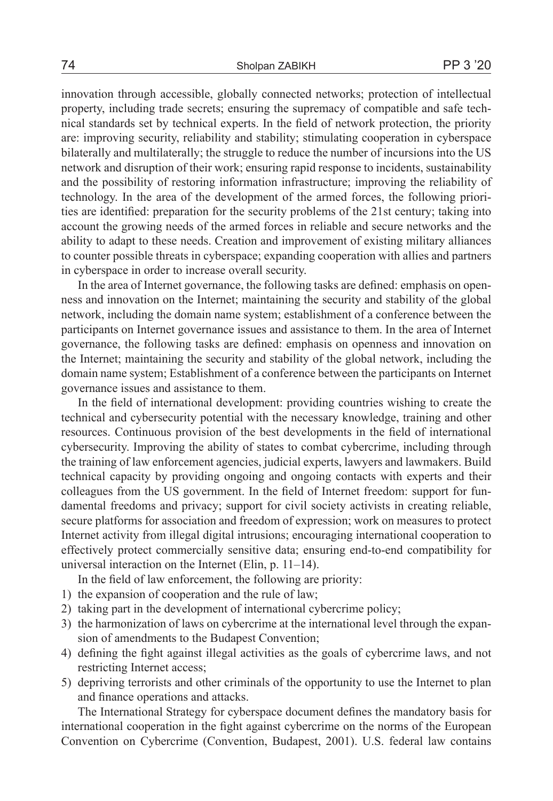innovation through accessible, globally connected networks; protection of intellectual property, including trade secrets; ensuring the supremacy of compatible and safe technical standards set by technical experts. In the field of network protection, the priority are: improving security, reliability and stability; stimulating cooperation in cyberspace bilaterally and multilaterally; the struggle to reduce the number of incursions into the US network and disruption of their work; ensuring rapid response to incidents, sustainability and the possibility of restoring information infrastructure; improving the reliability of technology. In the area of the development of the armed forces, the following priorities are identified: preparation for the security problems of the 21st century; taking into account the growing needs of the armed forces in reliable and secure networks and the ability to adapt to these needs. Сreation and improvement of existing military alliances to counter possible threats in cyberspace; expanding cooperation with allies and partners in cyberspace in order to increase overall security.

In the area of Internet governance, the following tasks are defined: emphasis on openness and innovation on the Internet; maintaining the security and stability of the global network, including the domain name system; establishment of a conference between the participants on Internet governance issues and assistance to them. In the area of Internet governance, the following tasks are defined: emphasis on openness and innovation on the Internet; maintaining the security and stability of the global network, including the domain name system; Establishment of a conference between the participants on Internet governance issues and assistance to them.

In the field of international development: providing countries wishing to create the technical and cybersecurity potential with the necessary knowledge, training and other resources. Continuous provision of the best developments in the field of international cybersecurity. Improving the ability of states to combat cybercrime, including through the training of law enforcement agencies, judicial experts, lawyers and lawmakers. Build technical capacity by providing ongoing and ongoing contacts with experts and their colleagues from the US government. In the field of Internet freedom: support for fundamental freedoms and privacy; support for civil society activists in creating reliable, secure platforms for association and freedom of expression; work on measures to protect Internet activity from illegal digital intrusions; encouraging international cooperation to effectively protect commercially sensitive data; ensuring end-to-end compatibility for universal interaction on the Internet (Elin, p. 11–14).

In the field of law enforcement, the following are priority:

- 1) the expansion of cooperation and the rule of law;
- 2) taking part in the development of international cybercrime policy;
- 3) the harmonization of laws on cybercrime at the international level through the expansion of amendments to the Budapest Convention;
- 4) defining the fight against illegal activities as the goals of cybercrime laws, and not restricting Internet access;
- 5) depriving terrorists and other criminals of the opportunity to use the Internet to plan and finance operations and attacks.

The International Strategy for cyberspace document defines the mandatory basis for international cooperation in the fight against cybercrime on the norms of the European Convention on Cybercrime (Convention, Budapest, 2001). U.S. federal law contains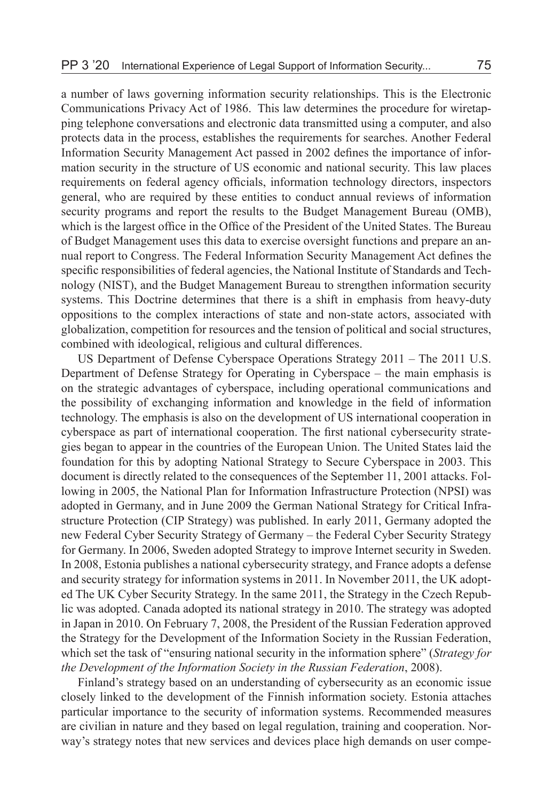a number of laws governing information security relationships. This is the Electronic Communications Privacy Act of 1986. This law determines the procedure for wiretapping telephone conversations and electronic data transmitted using a computer, and also protects data in the process, establishes the requirements for searches. Another Federal Information Security Management Act passed in 2002 defines the importance of information security in the structure of US economic and national security. This law places requirements on federal agency officials, information technology directors, inspectors general, who are required by these entities to conduct annual reviews of information security programs and report the results to the Budget Management Bureau (OMB), which is the largest office in the Office of the President of the United States. The Bureau of Budget Management uses this data to exercise oversight functions and prepare an annual report to Congress. The Federal Information Security Management Act defines the specific responsibilities of federal agencies, the National Institute of Standards and Technology (NIST), and the Budget Management Bureau to strengthen information security systems. This Doctrine determines that there is a shift in emphasis from heavy-duty oppositions to the complex interactions of state and non-state actors, associated with globalization, competition for resources and the tension of political and social structures, combined with ideological, religious and cultural differences.

US Department of Defense Cyberspace Operations Strategy 2011 – The 2011 U.S. Department of Defense Strategy for Operating in Cyberspace – the main emphasis is on the strategic advantages of cyberspace, including operational communications and the possibility of exchanging information and knowledge in the field of information technology. The emphasis is also on the development of US international cooperation in cyberspace as part of international cooperation. The first national cybersecurity strategies began to appear in the countries of the European Union. The United States laid the foundation for this by adopting National Strategy to Secure Cyberspace in 2003. This document is directly related to the consequences of the September 11, 2001 attacks. Following in 2005, the National Plan for Information Infrastructure Protection (NPSI) was adopted in Germany, and in June 2009 the German National Strategy for Critical Infrastructure Protection (CIP Strategy) was published. In early 2011, Germany adopted the new Federal Cyber Security Strategy of Germany – the Federal Cyber Security Strategy for Germany. In 2006, Sweden adopted Strategy to improve Internet security in Sweden. In 2008, Estonia publishes a national cybersecurity strategy, and France adopts a defense and security strategy for information systems in 2011. In November 2011, the UK adopted The UK Cyber Security Strategy. In the same 2011, the Strategy in the Czech Republic was adopted. Canada adopted its national strategy in 2010. The strategy was adopted in Japan in 2010. On February 7, 2008, the President of the Russian Federation approved the Strategy for the Development of the Information Society in the Russian Federation, which set the task of "ensuring national security in the information sphere" (*Strategy for the Development of the Information Society in the Russian Federation*, 2008).

Finland's strategy based on an understanding of cybersecurity as an economic issue closely linked to the development of the Finnish information society. Estonia attaches particular importance to the security of information systems. Recommended measures are civilian in nature and they based on legal regulation, training and cooperation. Norway's strategy notes that new services and devices place high demands on user compe-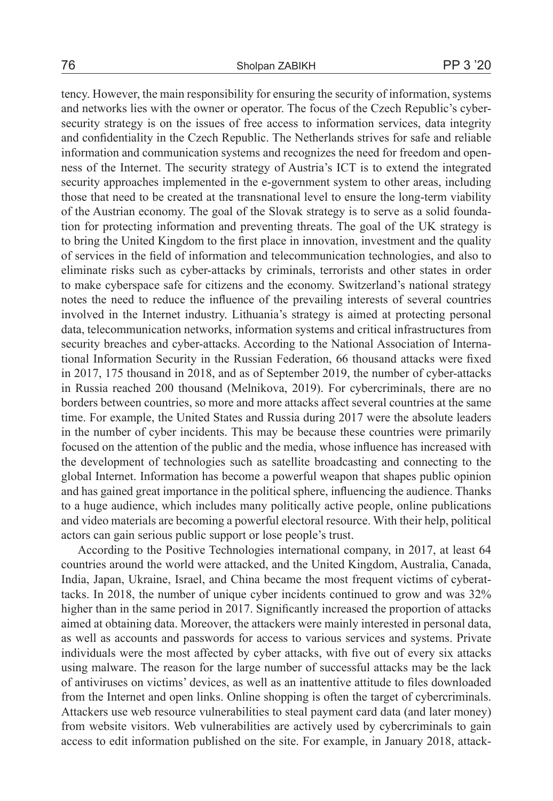# 76 Sholpan ZABIKH PP 3 '20

tency. However, the main responsibility for ensuring the security of information, systems and networks lies with the owner or operator. The focus of the Czech Republic's cybersecurity strategy is on the issues of free access to information services, data integrity and confidentiality in the Czech Republic. The Netherlands strives for safe and reliable information and communication systems and recognizes the need for freedom and openness of the Internet. The security strategy of Austria's ICT is to extend the integrated security approaches implemented in the e-government system to other areas, including those that need to be created at the transnational level to ensure the long-term viability of the Austrian economy. The goal of the Slovak strategy is to serve as a solid foundation for protecting information and preventing threats. The goal of the UK strategy is to bring the United Kingdom to the first place in innovation, investment and the quality of services in the field of information and telecommunication technologies, and also to eliminate risks such as cyber-attacks by criminals, terrorists and other states in order to make cyberspace safe for citizens and the economy. Switzerland's national strategy notes the need to reduce the influence of the prevailing interests of several countries involved in the Internet industry. Lithuania's strategy is aimed at protecting personal data, telecommunication networks, information systems and critical infrastructures from security breaches and cyber-attacks. According to the National Association of International Information Security in the Russian Federation, 66 thousand attacks were fixed in 2017, 175 thousand in 2018, and as of September 2019, the number of cyber-attacks in Russia reached 200 thousand (Melnikova, 2019). For cybercriminals, there are no borders between countries, so more and more attacks affect several countries at the same time. For example, the United States and Russia during 2017 were the absolute leaders in the number of cyber incidents. This may be because these countries were primarily focused on the attention of the public and the media, whose influence has increased with the development of technologies such as satellite broadcasting and connecting to the global Internet. Information has become a powerful weapon that shapes public opinion and has gained great importance in the political sphere, influencing the audience. Thanks to a huge audience, which includes many politically active people, online publications and video materials are becoming a powerful electoral resource. With their help, political actors can gain serious public support or lose people's trust.

According to the Positive Technologies international company, in 2017, at least 64 countries around the world were attacked, and the United Kingdom, Australia, Canada, India, Japan, Ukraine, Israel, and China became the most frequent victims of cyberattacks. In 2018, the number of unique cyber incidents continued to grow and was 32% higher than in the same period in 2017. Significantly increased the proportion of attacks aimed at obtaining data. Moreover, the attackers were mainly interested in personal data, as well as accounts and passwords for access to various services and systems. Private individuals were the most affected by cyber attacks, with five out of every six attacks using malware. The reason for the large number of successful attacks may be the lack of antiviruses on victims' devices, as well as an inattentive attitude to files downloaded from the Internet and open links. Online shopping is often the target of cybercriminals. Attackers use web resource vulnerabilities to steal payment card data (and later money) from website visitors. Web vulnerabilities are actively used by cybercriminals to gain access to edit information published on the site. For example, in January 2018, attack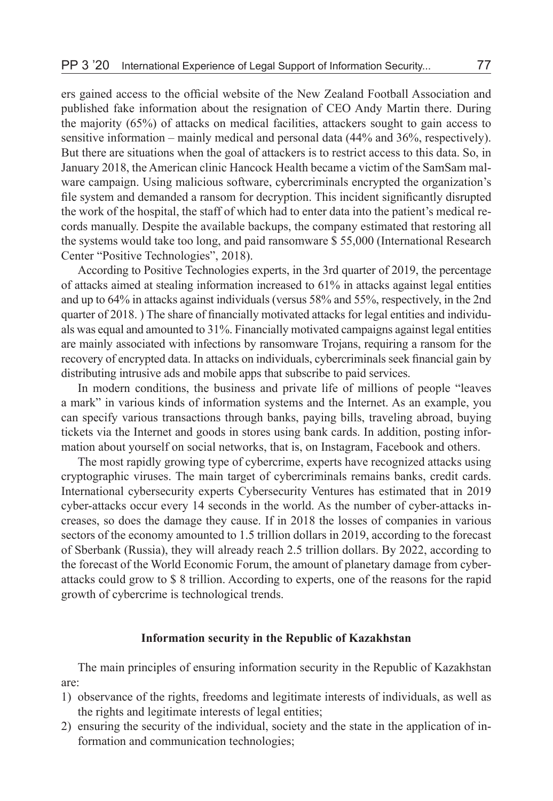ers gained access to the official website of the New Zealand Football Association and published fake information about the resignation of CEO Andy Martin there. During the majority (65%) of attacks on medical facilities, attackers sought to gain access to sensitive information – mainly medical and personal data (44% and 36%, respectively). But there are situations when the goal of attackers is to restrict access to this data. So, in January 2018, the American clinic Hancock Health became a victim of the SamSam malware campaign. Using malicious software, cybercriminals encrypted the organization's file system and demanded a ransom for decryption. This incident significantly disrupted the work of the hospital, the staff of which had to enter data into the patient's medical records manually. Despite the available backups, the company estimated that restoring all the systems would take too long, and paid ransomware \$ 55,000 (International Research Center "Positive Technologies", 2018).

According to Positive Technologies experts, in the 3rd quarter of 2019, the percentage of attacks aimed at stealing information increased to 61% in attacks against legal entities and up to 64% in attacks against individuals (versus 58% and 55%, respectively, in the 2nd quarter of 2018. ) The share of financially motivated attacks for legal entities and individuals was equal and amounted to 31%. Financially motivated campaigns against legal entities are mainly associated with infections by ransomware Trojans, requiring a ransom for the recovery of encrypted data. In attacks on individuals, cybercriminals seek financial gain by distributing intrusive ads and mobile apps that subscribe to paid services.

In modern conditions, the business and private life of millions of people "leaves a mark" in various kinds of information systems and the Internet. As an example, you can specify various transactions through banks, paying bills, traveling abroad, buying tickets via the Internet and goods in stores using bank cards. In addition, posting information about yourself on social networks, that is, on Instagram, Facebook and others.

The most rapidly growing type of cybercrime, experts have recognized attacks using cryptographic viruses. The main target of cybercriminals remains banks, credit cards. International cybersecurity experts Cybersecurity Ventures has estimated that in 2019 cyber-attacks occur every 14 seconds in the world. As the number of cyber-attacks increases, so does the damage they cause. If in 2018 the losses of companies in various sectors of the economy amounted to 1.5 trillion dollars in 2019, according to the forecast of Sberbank (Russia), they will already reach 2.5 trillion dollars. By 2022, according to the forecast of the World Economic Forum, the amount of planetary damage from cyberattacks could grow to \$ 8 trillion. According to experts, one of the reasons for the rapid growth of cybercrime is technological trends.

# **Information security in the Republic of Kazakhstan**

The main principles of ensuring information security in the Republic of Kazakhstan are:

- 1) observance of the rights, freedoms and legitimate interests of individuals, as well as the rights and legitimate interests of legal entities;
- 2) ensuring the security of the individual, society and the state in the application of information and communication technologies;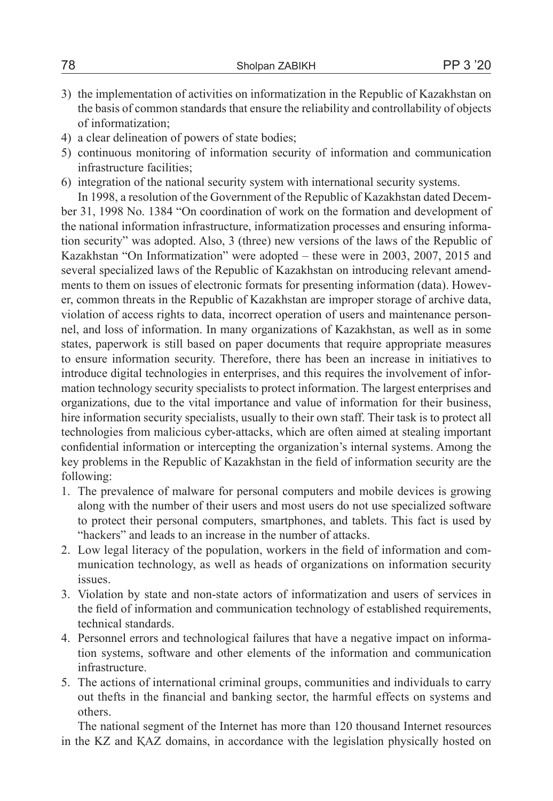- 3) the implementation of activities on informatization in the Republic of Kazakhstan on the basis of common standards that ensure the reliability and controllability of objects of informatization;
- 4) a clear delineation of powers of state bodies;
- 5) continuous monitoring of information security of information and communication infrastructure facilities;
- 6) integration of the national security system with international security systems.

In 1998, a resolution of the Government of the Republic of Kazakhstan dated December 31, 1998 No. 1384 "On coordination of work on the formation and development of the national information infrastructure, informatization processes and ensuring information security" was adopted. Also, 3 (three) new versions of the laws of the Republic of Kazakhstan "On Informatization" were adopted – these were in 2003, 2007, 2015 and several specialized laws of the Republic of Kazakhstan on introducing relevant amendments to them on issues of electronic formats for presenting information (data). However, common threats in the Republic of Kazakhstan are improper storage of archive data, violation of access rights to data, incorrect operation of users and maintenance personnel, and loss of information. In many organizations of Kazakhstan, as well as in some states, paperwork is still based on paper documents that require appropriate measures to ensure information security. Therefore, there has been an increase in initiatives to introduce digital technologies in enterprises, and this requires the involvement of information technology security specialists to protect information. The largest enterprises and organizations, due to the vital importance and value of information for their business, hire information security specialists, usually to their own staff. Their task is to protect all technologies from malicious cyber-attacks, which are often aimed at stealing important confidential information or intercepting the organization's internal systems. Among the key problems in the Republic of Kazakhstan in the field of information security are the following:

- 1. The prevalence of malware for personal computers and mobile devices is growing along with the number of their users and most users do not use specialized software to protect their personal computers, smartphones, and tablets. This fact is used by "hackers" and leads to an increase in the number of attacks.
- 2. Low legal literacy of the population, workers in the field of information and communication technology, as well as heads of organizations on information security issues.
- 3. Violation by state and non-state actors of informatization and users of services in the field of information and communication technology of established requirements, technical standards.
- 4. Personnel errors and technological failures that have a negative impact on information systems, software and other elements of the information and communication infrastructure.
- 5. The actions of international criminal groups, communities and individuals to carry out thefts in the financial and banking sector, the harmful effects on systems and others.

The national segment of the Internet has more than 120 thousand Internet resources in the KZ and ҚAZ domains, in accordance with the legislation physically hosted on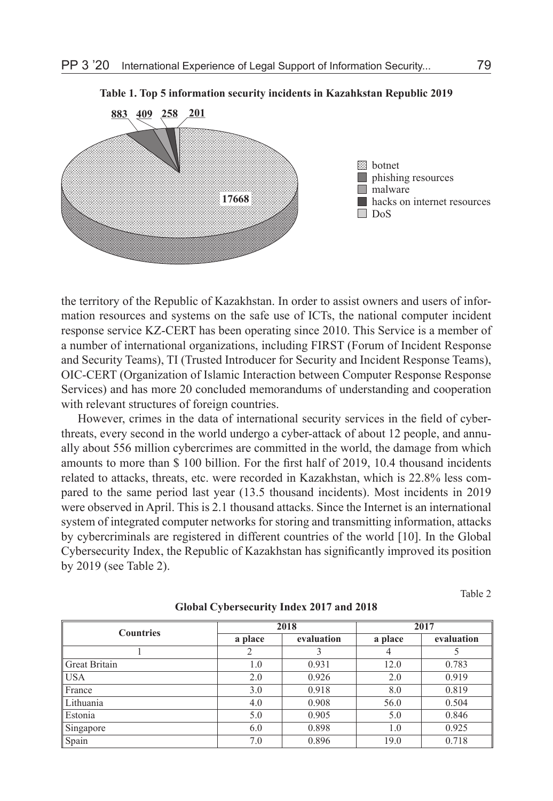

**Table 1. Top 5 information security incidents in Kazahkstan Republic 2019**

the territory of the Republic of Kazakhstan. In order to assist owners and users of information resources and systems on the safe use of ICTs, the national computer incident response service KZ-CERT has been operating since 2010. This Service is a member of a number of international organizations, including FIRST (Forum of Incident Response and Security Teams), TI (Trusted Introducer for Security and Incident Response Teams), OIC-CERT (Organization of Islamic Interaction between Computer Response Response Services) and has more 20 concluded memorandums of understanding and cooperation with relevant structures of foreign countries.

However, crimes in the data of international security services in the field of cyberthreats, every second in the world undergo a cyber-attack of about 12 people, and annually about 556 million cybercrimes are committed in the world, the damage from which amounts to more than \$ 100 billion. For the first half of 2019, 10.4 thousand incidents related to attacks, threats, etc. were recorded in Kazakhstan, which is 22.8% less compared to the same period last year (13.5 thousand incidents). Most incidents in 2019 were observed in April. This is 2.1 thousand attacks. Since the Internet is an international system of integrated computer networks for storing and transmitting information, attacks by cybercriminals are registered in different countries of the world [10]. In the Global Cybersecurity Index, the Republic of Kazakhstan has significantly improved its position by 2019 (see Table 2).

Table 2

| <b>Countries</b> | 2018    |            | 2017    |            |
|------------------|---------|------------|---------|------------|
|                  | a place | evaluation | a place | evaluation |
|                  | 2       |            | 4       |            |
| Great Britain    | 1.0     | 0.931      | 12.0    | 0.783      |
| USA              | 2.0     | 0.926      | 2.0     | 0.919      |
| France           | 3.0     | 0.918      | 8.0     | 0.819      |
| Lithuania        | 4.0     | 0.908      | 56.0    | 0.504      |
| Estonia          | 5.0     | 0.905      | 5.0     | 0.846      |
| Singapore        | 6.0     | 0.898      | 1.0     | 0.925      |
| Spain            | 7.0     | 0.896      | 19.0    | 0.718      |

#### **Global Cybersecurity Index 2017 and 2018**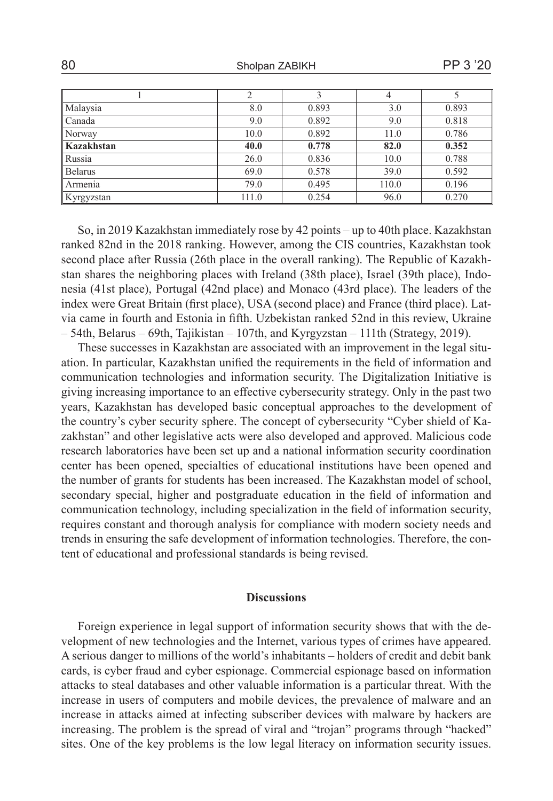80 Sholpan ZABIKH PP 3 '20

|            | 2     |       | $\overline{4}$ |       |
|------------|-------|-------|----------------|-------|
| Malaysia   | 8.0   | 0.893 | 3.0            | 0.893 |
| Canada     | 9.0   | 0.892 | 9.0            | 0.818 |
| Norway     | 10.0  | 0.892 | 11.0           | 0.786 |
| Kazakhstan | 40.0  | 0.778 | 82.0           | 0.352 |
| Russia     | 26.0  | 0.836 | 10.0           | 0.788 |
| Belarus    | 69.0  | 0.578 | 39.0           | 0.592 |
| Armenia    | 79.0  | 0.495 | 110.0          | 0.196 |
| Kyrgyzstan | 111.0 | 0.254 | 96.0           | 0.270 |

So, in 2019 Kazakhstan immediately rose by 42 points – up to 40th place. Kazakhstan ranked 82nd in the 2018 ranking. However, among the CIS countries, Kazakhstan took second place after Russia (26th place in the overall ranking). The Republic of Kazakhstan shares the neighboring places with Ireland (38th place), Israel (39th place), Indonesia (41st place), Portugal (42nd place) and Monaco (43rd place). The leaders of the index were Great Britain (first place), USA (second place) and France (third place). Latvia came in fourth and Estonia in fifth. Uzbekistan ranked 52nd in this review, Ukraine – 54th, Belarus – 69th, Tajikistan – 107th, and Kyrgyzstan – 111th (Strategy, 2019).

These successes in Kazakhstan are associated with an improvement in the legal situation. In particular, Kazakhstan unified the requirements in the field of information and communication technologies and information security. The Digitalization Initiative is giving increasing importance to an effective cybersecurity strategy. Only in the past two years, Kazakhstan has developed basic conceptual approaches to the development of the country's cyber security sphere. The concept of cybersecurity "Cyber shield of Kazakhstan" and other legislative acts were also developed and approved. Malicious code research laboratories have been set up and a national information security coordination center has been opened, specialties of educational institutions have been opened and the number of grants for students has been increased. The Kazakhstan model of school, secondary special, higher and postgraduate education in the field of information and communication technology, including specialization in the field of information security, requires constant and thorough analysis for compliance with modern society needs and trends in ensuring the safe development of information technologies. Therefore, the content of educational and professional standards is being revised.

### **Discussions**

Foreign experience in legal support of information security shows that with the development of new technologies and the Internet, various types of crimes have appeared. A serious danger to millions of the world's inhabitants – holders of credit and debit bank cards, is cyber fraud and cyber espionage. Commercial espionage based on information attacks to steal databases and other valuable information is a particular threat. With the increase in users of computers and mobile devices, the prevalence of malware and an increase in attacks aimed at infecting subscriber devices with malware by hackers are increasing. The problem is the spread of viral and "trojan" programs through "hacked" sites. One of the key problems is the low legal literacy on information security issues.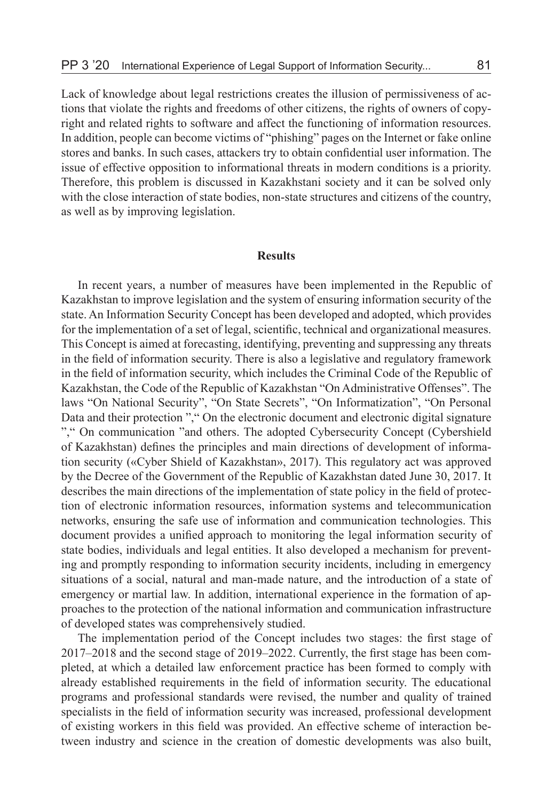Lack of knowledge about legal restrictions creates the illusion of permissiveness of actions that violate the rights and freedoms of other citizens, the rights of owners of copyright and related rights to software and affect the functioning of information resources. In addition, people can become victims of "phishing" pages on the Internet or fake online stores and banks. In such cases, attackers try to obtain confidential user information. The issue of effective opposition to informational threats in modern conditions is a priority. Therefore, this problem is discussed in Kazakhstani society and it can be solved only with the close interaction of state bodies, non-state structures and citizens of the country, as well as by improving legislation.

### **Results**

In recent years, a number of measures have been implemented in the Republic of Kazakhstan to improve legislation and the system of ensuring information security of the state. An Information Security Concept has been developed and adopted, which provides for the implementation of a set of legal, scientific, technical and organizational measures. This Concept is aimed at forecasting, identifying, preventing and suppressing any threats in the field of information security. There is also a legislative and regulatory framework in the field of information security, which includes the Criminal Code of the Republic of Kazakhstan, the Code of the Republic of Kazakhstan "On Administrative Offenses". The laws "On National Security", "On State Secrets", "On Informatization", "On Personal Data and their protection "," On the electronic document and electronic digital signature "," On communication "and others. The adopted Cybersecurity Concept (Cybershield of Kazakhstan) defines the principles and main directions of development of information security («Cyber Shield of Kazakhstan», 2017). This regulatory act was approved by the Decree of the Government of the Republic of Kazakhstan dated June 30, 2017. It describes the main directions of the implementation of state policy in the field of protection of electronic information resources, information systems and telecommunication networks, ensuring the safe use of information and communication technologies. This document provides a unified approach to monitoring the legal information security of state bodies, individuals and legal entities. It also developed a mechanism for preventing and promptly responding to information security incidents, including in emergency situations of a social, natural and man-made nature, and the introduction of a state of emergency or martial law. In addition, international experience in the formation of approaches to the protection of the national information and communication infrastructure of developed states was comprehensively studied.

The implementation period of the Concept includes two stages: the first stage of 2017–2018 and the second stage of 2019–2022. Currently, the first stage has been completed, at which a detailed law enforcement practice has been formed to comply with already established requirements in the field of information security. The educational programs and professional standards were revised, the number and quality of trained specialists in the field of information security was increased, professional development of existing workers in this field was provided. An effective scheme of interaction between industry and science in the creation of domestic developments was also built,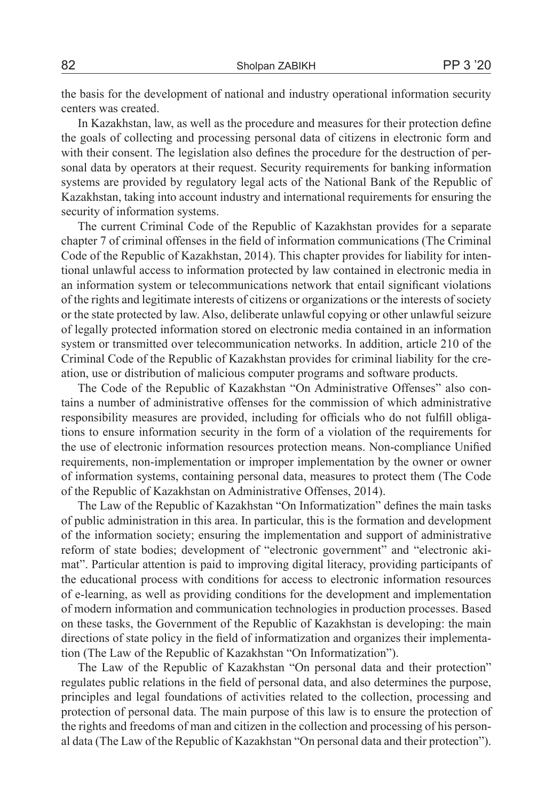the basis for the development of national and industry operational information security centers was created.

In Kazakhstan, law, as well as the procedure and measures for their protection define the goals of collecting and processing personal data of citizens in electronic form and with their consent. The legislation also defines the procedure for the destruction of personal data by operators at their request. Security requirements for banking information systems are provided by regulatory legal acts of the National Bank of the Republic of Kazakhstan, taking into account industry and international requirements for ensuring the security of information systems.

The current Criminal Code of the Republic of Kazakhstan provides for a separate chapter 7 of criminal offenses in the field of information communications (The Criminal Code of the Republic of Kazakhstan, 2014). This chapter provides for liability for intentional unlawful access to information protected by law contained in electronic media in an information system or telecommunications network that entail significant violations of the rights and legitimate interests of citizens or organizations or the interests of society or the state protected by law. Also, deliberate unlawful copying or other unlawful seizure of legally protected information stored on electronic media contained in an information system or transmitted over telecommunication networks. In addition, article 210 of the Criminal Code of the Republic of Kazakhstan provides for criminal liability for the creation, use or distribution of malicious computer programs and software products.

The Code of the Republic of Kazakhstan "On Administrative Offenses" also contains a number of administrative offenses for the commission of which administrative responsibility measures are provided, including for officials who do not fulfill obligations to ensure information security in the form of a violation of the requirements for the use of electronic information resources protection means. Non-compliance Unified requirements, non-implementation or improper implementation by the owner or owner of information systems, containing personal data, measures to protect them (The Code of the Republic of Kazakhstan on Administrative Offenses, 2014).

The Law of the Republic of Kazakhstan "On Informatization" defines the main tasks of public administration in this area. In particular, this is the formation and development of the information society; ensuring the implementation and support of administrative reform of state bodies; development of "electronic government" and "electronic akimat". Particular attention is paid to improving digital literacy, providing participants of the educational process with conditions for access to electronic information resources of e-learning, as well as providing conditions for the development and implementation of modern information and communication technologies in production processes. Based on these tasks, the Government of the Republic of Kazakhstan is developing: the main directions of state policy in the field of informatization and organizes their implementation (The Law of the Republic of Kazakhstan "On Informatization").

The Law of the Republic of Kazakhstan "On personal data and their protection" regulates public relations in the field of personal data, and also determines the purpose, principles and legal foundations of activities related to the collection, processing and protection of personal data. The main purpose of this law is to ensure the protection of the rights and freedoms of man and citizen in the collection and processing of his personal data (The Law of the Republic of Kazakhstan "On personal data and their protection").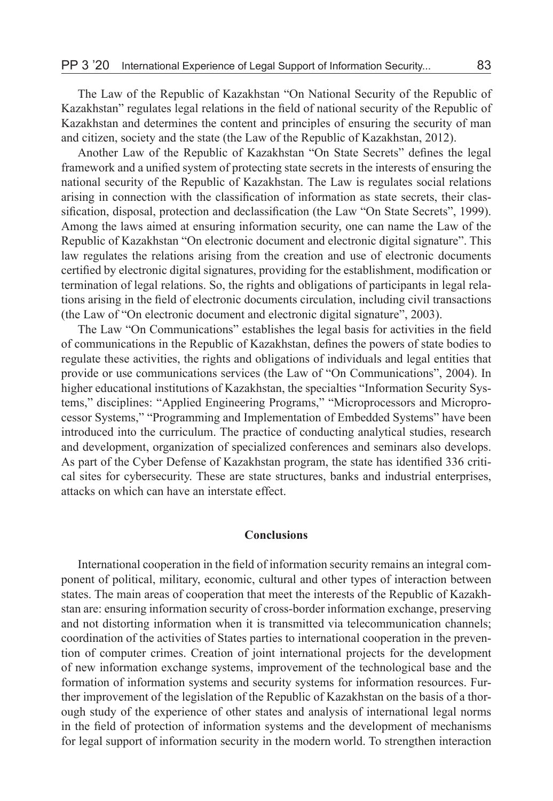The Law of the Republic of Kazakhstan "On National Security of the Republic of Kazakhstan" regulates legal relations in the field of national security of the Republic of Kazakhstan and determines the content and principles of ensuring the security of man and citizen, society and the state (the Law of the Republic of Kazakhstan, 2012).

Another Law of the Republic of Kazakhstan "On State Secrets" defines the legal framework and a unified system of protecting state secrets in the interests of ensuring the national security of the Republic of Kazakhstan. The Law is regulates social relations arising in connection with the classification of information as state secrets, their classification, disposal, protection and declassification (the Law "On State Secrets", 1999). Among the laws aimed at ensuring information security, one can name the Law of the Republic of Kazakhstan "On electronic document and electronic digital signature". This law regulates the relations arising from the creation and use of electronic documents certified by electronic digital signatures, providing for the establishment, modification or termination of legal relations. So, the rights and obligations of participants in legal relations arising in the field of electronic documents circulation, including civil transactions (the Law of "On electronic document and electronic digital signature", 2003).

The Law "On Communications" establishes the legal basis for activities in the field of communications in the Republic of Kazakhstan, defines the powers of state bodies to regulate these activities, the rights and obligations of individuals and legal entities that provide or use communications services (the Law of "On Communications", 2004). In higher educational institutions of Kazakhstan, the specialties "Information Security Systems," disciplines: "Applied Engineering Programs," "Microprocessors and Microprocessor Systems," "Programming and Implementation of Embedded Systems" have been introduced into the curriculum. The practice of conducting analytical studies, research and development, organization of specialized conferences and seminars also develops. As part of the Cyber Defense of Kazakhstan program, the state has identified 336 critical sites for cybersecurity. These are state structures, banks and industrial enterprises, attacks on which can have an interstate effect.

# **Conclusions**

International cooperation in the field of information security remains an integral component of political, military, economic, cultural and other types of interaction between states. The main areas of cooperation that meet the interests of the Republic of Kazakhstan are: ensuring information security of cross-border information exchange, preserving and not distorting information when it is transmitted via telecommunication channels; coordination of the activities of States parties to international cooperation in the prevention of computer crimes. Creation of joint international projects for the development of new information exchange systems, improvement of the technological base and the formation of information systems and security systems for information resources. Further improvement of the legislation of the Republic of Kazakhstan on the basis of a thorough study of the experience of other states and analysis of international legal norms in the field of protection of information systems and the development of mechanisms for legal support of information security in the modern world. To strengthen interaction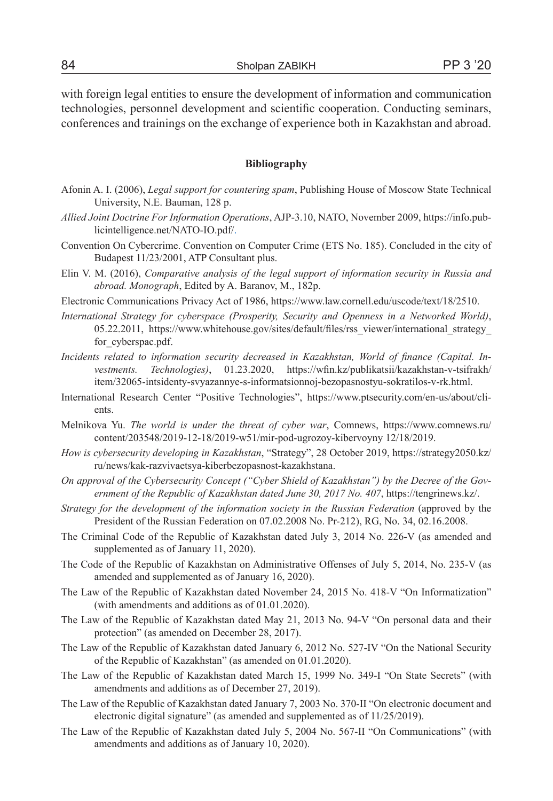with foreign legal entities to ensure the development of information and communication technologies, personnel development and scientific cooperation. Conducting seminars, conferences and trainings on the exchange of experience both in Kazakhstan and abroad.

### **Bibliography**

- Afonin A. I. (2006), *Legal support for countering spam*, Publishing House of Moscow State Technical University, N.E. Bauman, 128 p.
- *Allied Joint Doctrine For Information Operations*, AJP-3.10, NATO, November 2009, https://info.publicintelligence.net/NATO-IO.pdf/.
- Convention On Cybercrime. Convention on Computer Crime (ETS No. 185). Concluded in the city of Budapest 11/23/2001, ATP Consultant plus.
- Elin V. M. (2016), *Comparative analysis of the legal support of information security in Russia and abroad. Monograph*, Edited by A. Baranov, M., 182p.
- Electronic Communications Privacy Act of 1986, https://www.law.cornell.edu/uscode/text/18/2510.
- *International Strategy for cyberspace (Prosperity, Security and Openness in a Networked World)*, 05.22.2011, https://www.whitehouse.gov/sites/default/files/rss\_viewer/international\_strategy\_ for cyberspac.pdf.
- *Incidents related to information security decreased in Kazakhstan, World of finance (Capital. Investments. Technologies)*, 01.23.2020, https://wfin.kz/publikatsii/kazakhstan-v-tsifrakh/ item/32065-intsidenty-svyazannye-s-informatsionnoj-bezopasnostyu-sokratilos-v-rk.html.
- International Research Center "Positive Technologies", https://www.ptsecurity.com/en-us/about/clients.
- Melnikova Yu. *The world is under the threat of cyber war*, Comnews, https://www.comnews.ru/ content/203548/2019-12-18/2019-w51/mir-pod-ugrozoy-kibervoyny 12/18/2019.
- *How is cybersecurity developing in Kazakhstan*, "Strategy", 28 October 2019, https://strategy2050.kz/ ru/news/kak-razvivaetsya-kiberbezopasnost-kazakhstana.
- *On approval of the Cybersecurity Concept ("Cyber Shield of Kazakhstan") by the Decree of the Government of the Republic of Kazakhstan dated June 30, 2017 No. 407*, https://tengrinews.kz/.
- *Strategy for the development of the information society in the Russian Federation* (approved by the President of the Russian Federation on 07.02.2008 No. Pr-212), RG, No. 34, 02.16.2008.
- The Criminal Code of the Republic of Kazakhstan dated July 3, 2014 No. 226-V (as amended and supplemented as of January 11, 2020).
- The Code of the Republic of Kazakhstan on Administrative Offenses of July 5, 2014, No. 235-V (as amended and supplemented as of January 16, 2020).
- The Law of the Republic of Kazakhstan dated November 24, 2015 No. 418-V "On Informatization" (with amendments and additions as of 01.01.2020).
- The Law of the Republic of Kazakhstan dated May 21, 2013 No. 94-V "On personal data and their protection" (as amended on December 28, 2017).
- The Law of the Republic of Kazakhstan dated January 6, 2012 No. 527-IV "On the National Security of the Republic of Kazakhstan" (as amended on 01.01.2020).
- The Law of the Republic of Kazakhstan dated March 15, 1999 No. 349-I "On State Secrets" (with amendments and additions as of December 27, 2019).
- The Law of the Republic of Kazakhstan dated January 7, 2003 No. 370-II "On electronic document and electronic digital signature" (as amended and supplemented as of 11/25/2019).
- The Law of the Republic of Kazakhstan dated July 5, 2004 No. 567-II "On Communications" (with amendments and additions as of January 10, 2020).